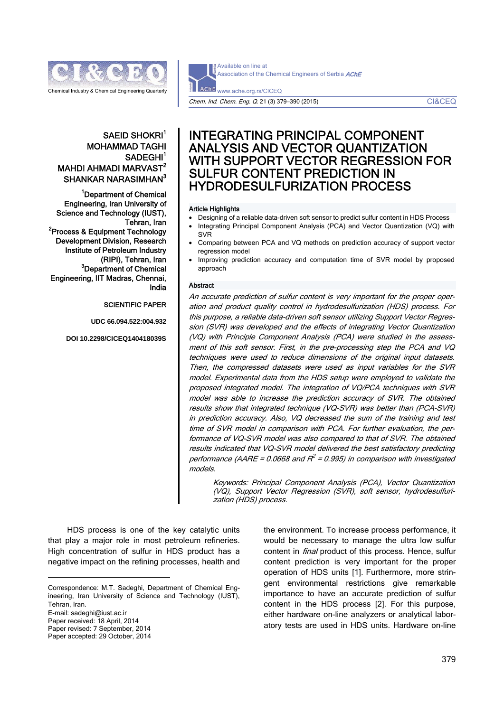

Available on line at Association of the Chemical Engineers of Serbia AChE AChE www.ache.org.rs/CICEQ Chem. Ind. Chem. Eng. Q. 21 (3) 379−390 (2015) CI&CEQ

# SAEID SHOKRI<sup>1</sup> MOHAMMAD TAGHI SADEGHI<sup>1</sup> MAHDI AHMADI MARVAST<sup>2</sup> SHANKAR NARASIMHAN $^3$

<sup>1</sup>Department of Chemical Engineering, Iran University of Science and Technology (IUST), Tehran, Iran<br><sup>2</sup>Process & Equipment Technology Development Division, Research Institute of Petroleum Industry (RIPI), Tehran, Iran <sup>3</sup>Department of Chemical Engineering, IIT Madras, Chennai, India

#### SCIENTIFIC PAPER

**UDC 66.094.522:004.932** 

**DOI 10.2298/CICEQ140418039S** 

# INTEGRATING PRINCIPAL COMPONENT ANALYSIS AND VECTOR QUANTIZATION WITH SUPPORT VECTOR REGRESSION FOR SULFUR CONTENT PREDICTION IN HYDRODESULFURIZATION PROCESS

#### Article Highlights

- Designing of a reliable data-driven soft sensor to predict sulfur content in HDS Process
- Integrating Principal Component Analysis (PCA) and Vector Quantization (VQ) with SVR
- Comparing between PCA and VQ methods on prediction accuracy of support vector regression model
- Improving prediction accuracy and computation time of SVR model by proposed approach

#### Abstract

An accurate prediction of sulfur content is very important for the proper operation and product quality control in hydrodesulfurization (HDS) process. For this purpose, a reliable data-driven soft sensor utilizing Support Vector Regression (SVR) was developed and the effects of integrating Vector Quantization (VQ) with Principle Component Analysis (PCA) were studied in the assessment of this soft sensor. First, in the pre-processing step the PCA and VQ techniques were used to reduce dimensions of the original input datasets. Then, the compressed datasets were used as input variables for the SVR model. Experimental data from the HDS setup were employed to validate the proposed integrated model. The integration of VQ/PCA techniques with SVR model was able to increase the prediction accuracy of SVR. The obtained results show that integrated technique (VQ-SVR) was better than (PCA-SVR) in prediction accuracy. Also, VQ decreased the sum of the training and test time of SVR model in comparison with PCA. For further evaluation, the performance of VQ-SVR model was also compared to that of SVR. The obtained results indicated that VQ-SVR model delivered the best satisfactory predicting performance (AARE = 0.0668 and  $R^2$  = 0.995) in comparison with investigated models.

Keywords: Principal Component Analysis (PCA), Vector Quantization (VQ), Support Vector Regression (SVR), soft sensor, hydrodesulfurization (HDS) process.

HDS process is one of the key catalytic units that play a major role in most petroleum refineries. High concentration of sulfur in HDS product has a negative impact on the refining processes, health and

 $\overline{a}$ 

Paper accepted: 29 October, 2014

the environment. To increase process performance, it would be necessary to manage the ultra low sulfur content in *final* product of this process. Hence, sulfur content prediction is very important for the proper operation of HDS units [1]. Furthermore, more stringent environmental restrictions give remarkable importance to have an accurate prediction of sulfur content in the HDS process [2]. For this purpose, either hardware on-line analyzers or analytical laboratory tests are used in HDS units. Hardware on-line

Correspondence: M.T. Sadeghi, Department of Chemical Engineering, Iran University of Science and Technology (IUST), Tehran, Iran.

E-mail: sadeghi@iust.ac.ir

Paper received: 18 April, 2014

Paper revised: 7 September, 2014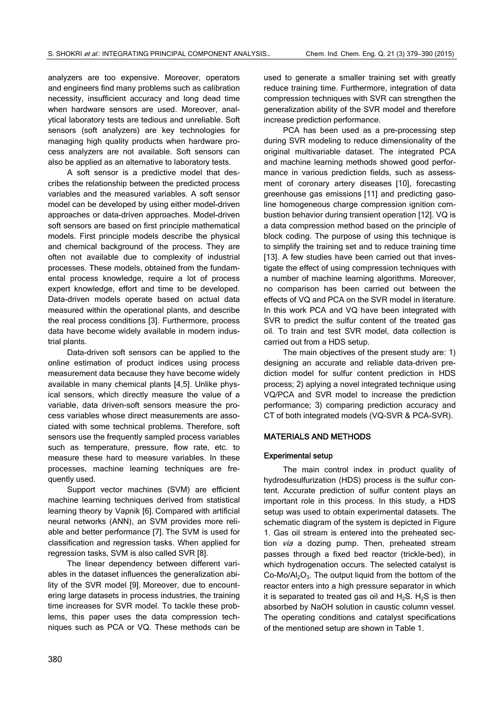analyzers are too expensive. Moreover, operators and engineers find many problems such as calibration necessity, insufficient accuracy and long dead time when hardware sensors are used. Moreover, analytical laboratory tests are tedious and unreliable. Soft sensors (soft analyzers) are key technologies for managing high quality products when hardware process analyzers are not available. Soft sensors can also be applied as an alternative to laboratory tests.

A soft sensor is a predictive model that describes the relationship between the predicted process variables and the measured variables. A soft sensor model can be developed by using either model-driven approaches or data-driven approaches. Model-driven soft sensors are based on first principle mathematical models. First principle models describe the physical and chemical background of the process. They are often not available due to complexity of industrial processes. These models, obtained from the fundamental process knowledge, require a lot of process expert knowledge, effort and time to be developed. Data-driven models operate based on actual data measured within the operational plants, and describe the real process conditions [3]. Furthermore, process data have become widely available in modern industrial plants.

Data-driven soft sensors can be applied to the online estimation of product indices using process measurement data because they have become widely available in many chemical plants [4,5]. Unlike physical sensors, which directly measure the value of a variable, data driven-soft sensors measure the process variables whose direct measurements are associated with some technical problems. Therefore, soft sensors use the frequently sampled process variables such as temperature, pressure, flow rate, etc. to measure these hard to measure variables. In these processes, machine learning techniques are frequently used.

Support vector machines (SVM) are efficient machine learning techniques derived from statistical learning theory by Vapnik [6]. Compared with artificial neural networks (ANN), an SVM provides more reliable and better performance [7]. The SVM is used for classification and regression tasks. When applied for regression tasks, SVM is also called SVR [8].

The linear dependency between different variables in the dataset influences the generalization ability of the SVR model [9]. Moreover, due to encountering large datasets in process industries, the training time increases for SVR model. To tackle these problems, this paper uses the data compression techniques such as PCA or VQ. These methods can be used to generate a smaller training set with greatly reduce training time. Furthermore, integration of data compression techniques with SVR can strengthen the generalization ability of the SVR model and therefore increase prediction performance.

PCA has been used as a pre-processing step during SVR modeling to reduce dimensionality of the original multivariable dataset. The integrated PCA and machine learning methods showed good performance in various prediction fields, such as assessment of coronary artery diseases [10], forecasting greenhouse gas emissions [11] and predicting gasoline homogeneous charge compression ignition combustion behavior during transient operation [12]. VQ is a data compression method based on the principle of block coding. The purpose of using this technique is to simplify the training set and to reduce training time [13]. A few studies have been carried out that investigate the effect of using compression techniques with a number of machine learning algorithms. Moreover, no comparison has been carried out between the effects of VQ and PCA on the SVR model in literature. In this work PCA and VQ have been integrated with SVR to predict the sulfur content of the treated gas oil. To train and test SVR model, data collection is carried out from a HDS setup.

The main objectives of the present study are: 1) designing an accurate and reliable data-driven prediction model for sulfur content prediction in HDS process; 2) aplying a novel integrated technique using VQ/PCA and SVR model to increase the prediction performance; 3) comparing prediction accuracy and CT of both integrated models (VQ-SVR & PCA-SVR).

## MATERIALS AND METHODS

## Experimental setup

The main control index in product quality of hydrodesulfurization (HDS) process is the sulfur content. Accurate prediction of sulfur content plays an important role in this process. In this study, a HDS setup was used to obtain experimental datasets. The schematic diagram of the system is depicted in Figure 1. Gas oil stream is entered into the preheated section *via* a dozing pump. Then, preheated stream passes through a fixed bed reactor (trickle-bed), in which hydrogenation occurs. The selected catalyst is Co-Mo/Al<sub>2</sub>O<sub>3</sub>. The output liquid from the bottom of the reactor enters into a high pressure separator in which it is separated to treated gas oil and  $H_2S$ .  $H_2S$  is then absorbed by NaOH solution in caustic column vessel. The operating conditions and catalyst specifications of the mentioned setup are shown in Table 1.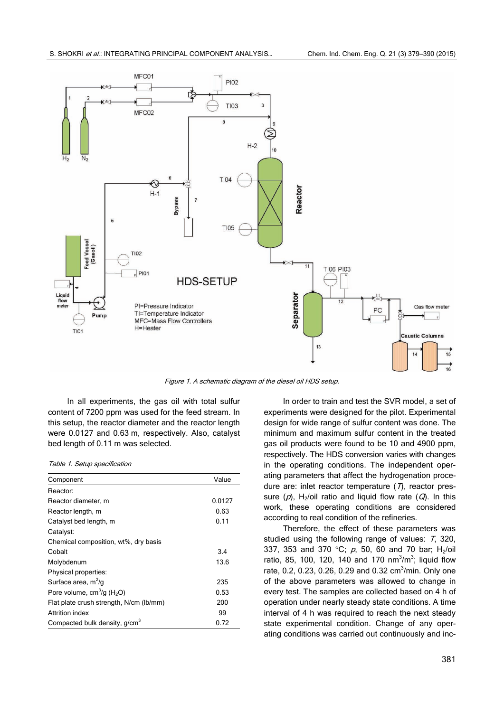

Figure 1. A schematic diagram of the diesel oil HDS setup.

In all experiments, the gas oil with total sulfur content of 7200 ppm was used for the feed stream. In this setup, the reactor diameter and the reactor length were 0.0127 and 0.63 m, respectively. Also, catalyst bed length of 0.11 m was selected.

Table 1. Setup specification

| Component                                 | Value  |
|-------------------------------------------|--------|
| Reactor:                                  |        |
| Reactor diameter, m                       | 0.0127 |
| Reactor length, m                         | 0.63   |
| Catalyst bed length, m                    | 0.11   |
| Catalyst:                                 |        |
| Chemical composition, wt%, dry basis      |        |
| Cobalt                                    | 3.4    |
| Molybdenum                                | 13.6   |
| Physical properties:                      |        |
| Surface area, $m^2$ /g                    | 235    |
| Pore volume, $cm^3/g$ (H <sub>2</sub> O)  | 0.53   |
| Flat plate crush strength, N/cm (lb/mm)   | 200    |
| Attrition index                           | 99     |
| Compacted bulk density, g/cm <sup>3</sup> | 0.72   |

In order to train and test the SVR model, a set of experiments were designed for the pilot. Experimental design for wide range of sulfur content was done. The minimum and maximum sulfur content in the treated gas oil products were found to be 10 and 4900 ppm, respectively. The HDS conversion varies with changes in the operating conditions. The independent operating parameters that affect the hydrogenation procedure are: inlet reactor temperature  $(7)$ , reactor pressure (p), H<sub>2</sub>/oil ratio and liquid flow rate (Q). In this work, these operating conditions are considered according to real condition of the refineries.

Therefore, the effect of these parameters was studied using the following range of values: T, 320, 337, 353 and 370 °C;  $p$ , 50, 60 and 70 bar; H<sub>2</sub>/oil ratio, 85, 100, 120, 140 and 170 nm<sup>3</sup>/m<sup>3</sup>; liquid flow rate, 0.2, 0.23, 0.26, 0.29 and 0.32  $\text{cm}^3/\text{min}$ . Only one of the above parameters was allowed to change in every test. The samples are collected based on 4 h of operation under nearly steady state conditions. A time interval of 4 h was required to reach the next steady state experimental condition. Change of any operating conditions was carried out continuously and inc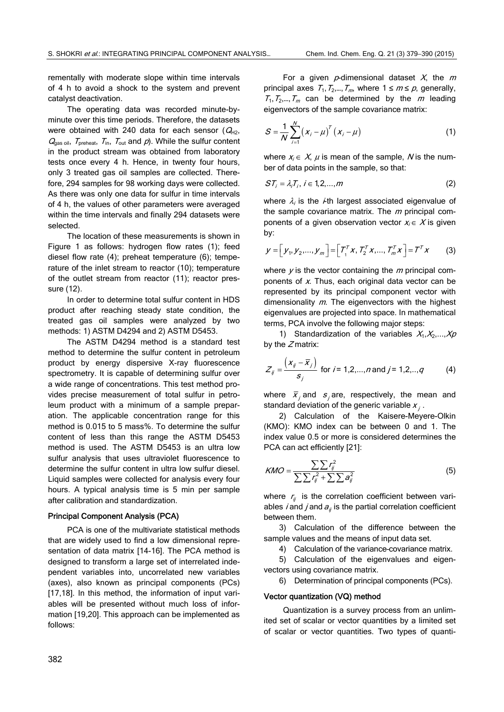rementally with moderate slope within time intervals of 4 h to avoid a shock to the system and prevent catalyst deactivation.

The operating data was recorded minute-byminute over this time periods. Therefore, the datasets were obtained with 240 data for each sensor  $(Q_{H2},$  $Q<sub>gas oil</sub>, T<sub>preheat</sub>, T<sub>in</sub>, T<sub>out</sub> and p). While the sulfur content$ in the product stream was obtained from laboratory tests once every 4 h. Hence, in twenty four hours, only 3 treated gas oil samples are collected. Therefore, 294 samples for 98 working days were collected. As there was only one data for sulfur in time intervals of 4 h, the values of other parameters were averaged within the time intervals and finally 294 datasets were selected.

The location of these measurements is shown in Figure 1 as follows: hydrogen flow rates (1); feed diesel flow rate (4); preheat temperature (6); temperature of the inlet stream to reactor (10); temperature of the outlet stream from reactor (11); reactor pressure (12).

In order to determine total sulfur content in HDS product after reaching steady state condition, the treated gas oil samples were analyzed by two methods: 1) ASTM D4294 and 2) ASTM D5453.

The ASTM D4294 method is a standard test method to determine the sulfur content in petroleum product by energy dispersive X-ray fluorescence spectrometry. It is capable of determining sulfur over a wide range of concentrations. This test method provides precise measurement of total sulfur in petroleum product with a minimum of a sample preparation. The applicable concentration range for this method is 0.015 to 5 mass%. To determine the sulfur content of less than this range the ASTM D5453 method is used. The ASTM D5453 is an ultra low sulfur analysis that uses ultraviolet fluorescence to determine the sulfur content in ultra low sulfur diesel. Liquid samples were collected for analysis every four hours. A typical analysis time is 5 min per sample after calibration and standardization.

#### Principal Component Analysis (PCA)

PCA is one of the multivariate statistical methods that are widely used to find a low dimensional representation of data matrix [14-16]. The PCA method is designed to transform a large set of interrelated independent variables into, uncorrelated new variables (axes), also known as principal components (PCs) [17,18]. In this method, the information of input variables will be presented without much loss of information [19,20]. This approach can be implemented as follows:

For a given  $p$ -dimensional dataset  $X$ , the  $m$ principal axes  $T_1, T_2, ..., T_m$ , where  $1 \le m \le p$ , generally,  $T_1, T_2, ..., T_m$  can be determined by the *m* leading eigenvectors of the sample covariance matrix:

$$
S = \frac{1}{N} \sum_{i=1}^{N} \left( x_i - \mu \right)^T \left( x_i - \mu \right) \tag{1}
$$

where  $x_i \in X$ ,  $\mu$  is mean of the sample, N is the number of data points in the sample, so that:

$$
ST_i = \lambda_i T_i, i \in 1, 2, \dots, m \tag{2}
$$

where  $\lambda_i$  is the *i*-th largest associated eigenvalue of the sample covariance matrix. The  $m$  principal components of a given observation vector  $x_i \in X$  is given by:

$$
y = \left[ y_1, y_2, ..., y_m \right] = \left[ T_1^T x, T_2^T x, ..., T_m^T x \right] = T^T x \tag{3}
$$

where  $y$  is the vector containing the  $m$  principal components of  $x$ . Thus, each original data vector can be represented by its principal component vector with dimensionality  $m$ . The eigenvectors with the highest eigenvalues are projected into space. In mathematical terms, PCA involve the following major steps:

1) Standardization of the variables  $X_1, X_2, \ldots, X_p$ by the  $Z$  matrix:

$$
Z_{ij} = \frac{(x_{ij} - \bar{x}_j)}{s_j} \text{ for } i = 1, 2, ..., n \text{ and } j = 1, 2, ..., q \tag{4}
$$

where  $\bar{x}_i$  and  $s_i$  are, respectively, the mean and standard deviation of the generic variable  $x_i$ .

2) Calculation of the Kaisere-Meyere-Olkin (KMO): KMO index can be between 0 and 1. The index value 0.5 or more is considered determines the PCA can act efficiently [21]:

$$
KMO = \frac{\sum\sum r_{ij}^2}{\sum\sum r_{ij}^2 + \sum\sum a_{ij}^2}
$$
 (5)

where  $r_{ii}$  is the correlation coefficient between variables *i* and *j* and  $a_{ii}$  is the partial correlation coefficient between them.

3) Calculation of the difference between the sample values and the means of input data set.

4) Calculation of the variance–covariance matrix.

5) Calculation of the eigenvalues and eigenvectors using covariance matrix.

6) Determination of principal components (PCs).

#### Vector quantization (VQ) method

Quantization is a survey process from an unlimited set of scalar or vector quantities by a limited set of scalar or vector quantities. Two types of quanti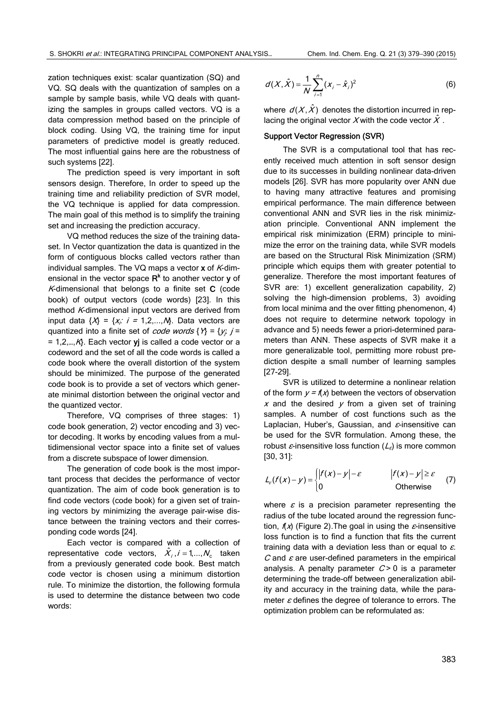zation techniques exist: scalar quantization (SQ) and VQ. SQ deals with the quantization of samples on a sample by sample basis, while VQ deals with quantizing the samples in groups called vectors. VQ is a data compression method based on the principle of block coding. Using VQ, the training time for input parameters of predictive model is greatly reduced. The most influential gains here are the robustness of such systems [22].

The prediction speed is very important in soft sensors design. Therefore, In order to speed up the training time and reliability prediction of SVR model, the VQ technique is applied for data compression. The main goal of this method is to simplify the training set and increasing the prediction accuracy.

VQ method reduces the size of the training dataset. In Vector quantization the data is quantized in the form of contiguous blocks called vectors rather than individual samples. The VQ maps a vector  $x$  of  $K$ -dimensional in the vector space  $R^k$  to another vector y of K-dimensional that belongs to a finite set C (code book) of output vectors (code words) [23]. In this method K-dimensional input vectors are derived from input data  $\{X\} = \{x_i : i = 1, 2, ..., M\}$ . Data vectors are quantized into a finite set of *code words*  $\{Y_j = \{y_j : j = j\} \}$ = 1,2,..., $K$ }. Each vector yj is called a code vector or a codeword and the set of all the code words is called a code book where the overall distortion of the system should be minimized. The purpose of the generated code book is to provide a set of vectors which generate minimal distortion between the original vector and the quantized vector.

Therefore, VQ comprises of three stages: 1) code book generation, 2) vector encoding and 3) vector decoding. It works by encoding values from a multidimensional vector space into a finite set of values from a discrete subspace of lower dimension.

The generation of code book is the most important process that decides the performance of vector quantization. The aim of code book generation is to find code vectors (code book) for a given set of training vectors by minimizing the average pair-wise distance between the training vectors and their corresponding code words [24].

Each vector is compared with a collection of representative code vectors,  $\hat{X}_i$ ,  $i = 1,..., N_c$  taken from a previously generated code book. Best match code vector is chosen using a minimum distortion rule. To minimize the distortion, the following formula is used to determine the distance between two code words:

$$
d(X, \hat{X}) = \frac{1}{N} \sum_{i=1}^{n} (X_i - \hat{X}_i)^2
$$
 (6)

where  $d(X, \hat{X})$  denotes the distortion incurred in replacing the original vector  $X$  with the code vector  $\ddot{X}$ .

## Support Vector Regression (SVR)

The SVR is a computational tool that has recently received much attention in soft sensor design due to its successes in building nonlinear data-driven models [26]. SVR has more popularity over ANN due to having many attractive features and promising empirical performance. The main difference between conventional ANN and SVR lies in the risk minimization principle. Conventional ANN implement the empirical risk minimization (ERM) principle to minimize the error on the training data, while SVR models are based on the Structural Risk Minimization (SRM) principle which equips them with greater potential to generalize. Therefore the most important features of SVR are: 1) excellent generalization capability, 2) solving the high-dimension problems, 3) avoiding from local minima and the over fitting phenomenon, 4) does not require to determine network topology in advance and 5) needs fewer a priori-determined parameters than ANN. These aspects of SVR make it a more generalizable tool, permitting more robust prediction despite a small number of learning samples [27-29].

SVR is utilized to determine a nonlinear relation of the form  $y = f(x)$  between the vectors of observation  $x$  and the desired  $y$  from a given set of training samples. A number of cost functions such as the Laplacian, Huber's, Gaussian, and ε-insensitive can be used for the SVR formulation. Among these, the robust  $\varepsilon$ -insensitive loss function  $(L_{\varepsilon})$  is more common [30, 31]:

$$
L_{\varepsilon}(f(x)-y) = \begin{cases} |f(x)-y|-\varepsilon & |f(x)-y| \ge \varepsilon \\ 0 & \text{Otherwise} \end{cases}
$$
 (7)

where  $\varepsilon$  is a precision parameter representing the radius of the tube located around the regression function,  $f(x)$  (Figure 2). The goal in using the  $\varepsilon$ -insensitive loss function is to find a function that fits the current training data with a deviation less than or equal to  $\varepsilon$ .  $C$  and  $\varepsilon$  are user-defined parameters in the empirical analysis. A penalty parameter  $C > 0$  is a parameter determining the trade-off between generalization ability and accuracy in the training data, while the parameter  $\varepsilon$  defines the degree of tolerance to errors. The optimization problem can be reformulated as: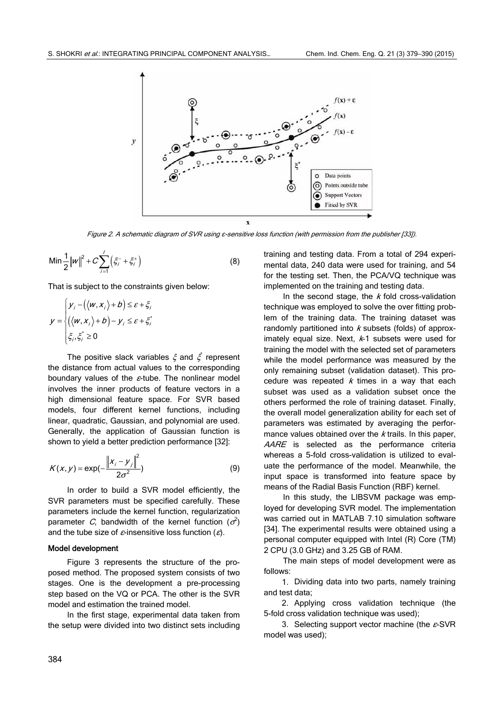

Figure 2. A schematic diagram of SVR using ε-sensitive loss function (with permission from the publisher [33]).

$$
\text{Min}\frac{1}{2}\|\boldsymbol{w}\|^2 + C\sum_{i=1}^J \left(\xi_i^2 + \xi_i^+\right) \tag{8}
$$

That is subject to the constraints given below:

$$
y = \begin{cases} y_i - (\langle w, x_i \rangle + b) \le \varepsilon + \xi_i \\ (\langle w, x_i \rangle + b) - y_i \le \varepsilon + \xi_i^* \\ \xi_i, \xi_i^* \ge 0 \end{cases}
$$

The positive slack variables  $\xi$  and  $\xi$  represent the distance from actual values to the corresponding boundary values of the  $\varepsilon$ -tube. The nonlinear model involves the inner products of feature vectors in a high dimensional feature space. For SVR based models, four different kernel functions, including linear, quadratic, Gaussian, and polynomial are used. Generally, the application of Gaussian function is shown to yield a better prediction performance [32]:

$$
K(x, y) = \exp(-\frac{\left\|x_{i} - y_{j}\right\|^{2}}{2\sigma^{2}})
$$
 (9)

In order to build a SVR model efficiently, the SVR parameters must be specified carefully. These parameters include the kernel function, regularization parameter C, bandwidth of the kernel function  $(\sigma^2)$ and the tube size of  $\varepsilon$ -insensitive loss function ( $\varepsilon$ ).

#### Model development

Figure 3 represents the structure of the proposed method. The proposed system consists of two stages. One is the development a pre-processing step based on the VQ or PCA. The other is the SVR model and estimation the trained model.

In the first stage, experimental data taken from the setup were divided into two distinct sets including training and testing data. From a total of 294 experimental data, 240 data were used for training, and 54 for the testing set. Then, the PCA/VQ technique was implemented on the training and testing data.

In the second stage, the  $k$  fold cross-validation technique was employed to solve the over fitting problem of the training data. The training dataset was randomly partitioned into  $k$  subsets (folds) of approximately equal size. Next,  $k-1$  subsets were used for training the model with the selected set of parameters while the model performance was measured by the only remaining subset (validation dataset). This procedure was repeated  $k$  times in a way that each subset was used as a validation subset once the others performed the role of training dataset. Finally, the overall model generalization ability for each set of parameters was estimated by averaging the performance values obtained over the  $k$  trails. In this paper, AARE is selected as the performance criteria whereas a 5-fold cross-validation is utilized to evaluate the performance of the model. Meanwhile, the input space is transformed into feature space by means of the Radial Basis Function (RBF) kernel.

In this study, the LIBSVM package was employed for developing SVR model. The implementation was carried out in MATLAB 7.10 simulation software [34]. The experimental results were obtained using a personal computer equipped with Intel (R) Core (TM) 2 CPU (3.0 GHz) and 3.25 GB of RAM.

The main steps of model development were as follows:

1. Dividing data into two parts, namely training and test data;

2. Applying cross validation technique (the 5-fold cross validation technique was used);

3. Selecting support vector machine (the  $\varepsilon$ -SVR model was used);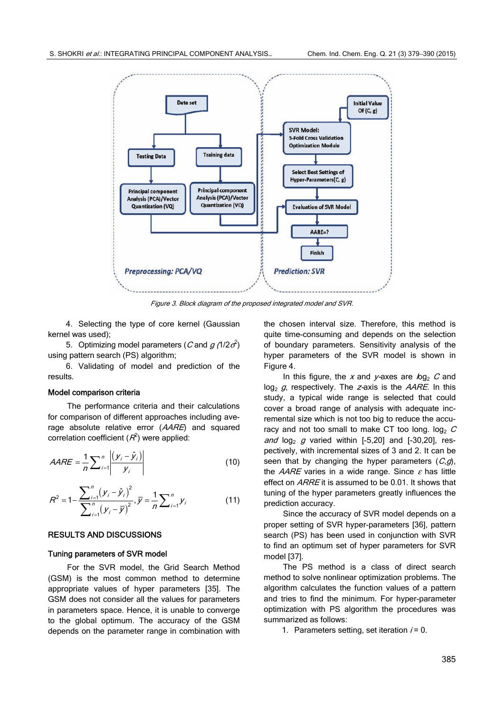

Figure 3. Block diagram of the proposed integrated model and SVR.

4. Selecting the type of core kernel (Gaussian kernel was used);

5. Optimizing model parameters (C and  $g(1/2\sigma^2)$ using pattern search (PS) algorithm;

6. Validating of model and prediction of the results.

## Model comparison criteria

The performance criteria and their calculations for comparison of different approaches including average absolute relative error (AARE) and squared correlation coefficient  $(R^2)$  were applied:

$$
AARE = \frac{1}{n} \sum_{i=1}^{n} \left| \frac{(y_i - \hat{y}_i)}{y_i} \right| \tag{10}
$$

$$
R^{2} = 1 - \frac{\sum_{i=1}^{n} (y_{i} - \hat{y}_{i})^{2}}{\sum_{i=1}^{n} (y_{i} - \bar{y})^{2}}, \bar{y} = \frac{1}{n} \sum_{i=1}^{n} y_{i}
$$
(11)

#### RESULTS AND DISCUSSIONS

#### Tuning parameters of SVR model

For the SVR model, the Grid Search Method (GSM) is the most common method to determine appropriate values of hyper parameters [35]. The GSM does not consider all the values for parameters in parameters space. Hence, it is unable to converge to the global optimum. The accuracy of the GSM depends on the parameter range in combination with the chosen interval size. Therefore, this method is quite time-consuming and depends on the selection of boundary parameters. Sensitivity analysis of the hyper parameters of the SVR model is shown in Figure 4.

In this figure, the x and y-axes are  $log_2 C$  and  $log_2$  g, respectively. The z-axis is the AARE. In this study, a typical wide range is selected that could cover a broad range of analysis with adequate incremental size which is not too big to reduce the accuracy and not too small to make CT too long. log<sub>2</sub>  $C$ and  $log_2$  g varied within [-5,20] and [-30,20], respectively, with incremental sizes of 3 and 2. It can be seen that by changing the hyper parameters  $(C, g)$ , the  $AARE$  varies in a wide range. Since  $\varepsilon$  has little effect on ARRE it is assumed to be 0.01. It shows that tuning of the hyper parameters greatly influences the prediction accuracy.

Since the accuracy of SVR model depends on a proper setting of SVR hyper-parameters [36], pattern search (PS) has been used in conjunction with SVR to find an optimum set of hyper parameters for SVR model [37].

The PS method is a class of direct search method to solve nonlinear optimization problems. The algorithm calculates the function values of a pattern and tries to find the minimum. For hyper-parameter optimization with PS algorithm the procedures was summarized as follows:

1. Parameters setting, set iteration  $i = 0$ .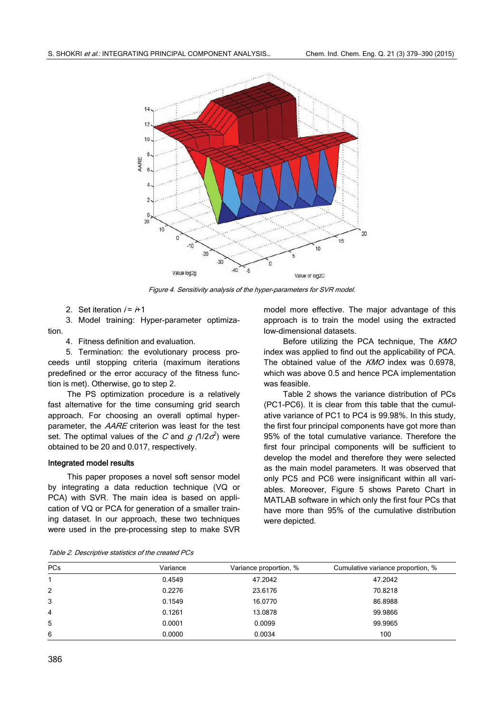

Figure 4. Sensitivity analysis of the hyper-parameters for SVR model.

2. Set iteration  $i = +1$ 

3. Model training: Hyper-parameter optimization.

4. Fitness definition and evaluation.

5. Termination: the evolutionary process proceeds until stopping criteria (maximum iterations predefined or the error accuracy of the fitness function is met). Otherwise, go to step 2.

The PS optimization procedure is a relatively fast alternative for the time consuming grid search approach. For choosing an overall optimal hyperparameter, the AARE criterion was least for the test set. The optimal values of the C and  $g(1/2\sigma^2)$  were obtained to be 20 and 0.017, respectively.

#### Integrated model results

This paper proposes a novel soft sensor model by integrating a data reduction technique (VQ or PCA) with SVR. The main idea is based on application of VQ or PCA for generation of a smaller training dataset. In our approach, these two techniques were used in the pre-processing step to make SVR

model more effective. The major advantage of this approach is to train the model using the extracted low-dimensional datasets.

Before utilizing the PCA technique, The KMO index was applied to find out the applicability of PCA. The obtained value of the KMO index was 0.6978, which was above 0.5 and hence PCA implementation was feasible.

Table 2 shows the variance distribution of PCs (PC1-PC6). It is clear from this table that the cumulative variance of PC1 to PC4 is 99.98%. In this study, the first four principal components have got more than 95% of the total cumulative variance. Therefore the first four principal components will be sufficient to develop the model and therefore they were selected as the main model parameters. It was observed that only PC5 and PC6 were insignificant within all variables. Moreover, Figure 5 shows Pareto Chart in MATLAB software in which only the first four PCs that have more than 95% of the cumulative distribution were depicted.

| PCs | Variance | Variance proportion, % | Cumulative variance proportion, % |
|-----|----------|------------------------|-----------------------------------|
|     | 0.4549   | 47.2042                | 47.2042                           |
|     | 0.2276   | 23.6176                | 70.8218                           |
|     | 0.1549   | 16.0770                | 86.8988                           |

4 0.1261 13.0878 99.9866 5 0.0001 0.0099 99.9965 6 0.0000 0.0034 100

Table 2. Descriptive statistics of the created PCs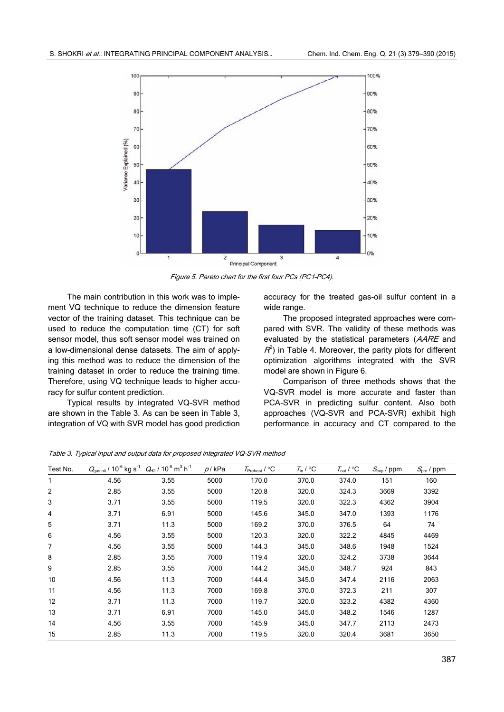

Figure 5. Pareto chart for the first four PCs (PC1–PC4).

The main contribution in this work was to implement VQ technique to reduce the dimension feature vector of the training dataset. This technique can be used to reduce the computation time (CT) for soft sensor model, thus soft sensor model was trained on a low-dimensional dense datasets. The aim of applying this method was to reduce the dimension of the training dataset in order to reduce the training time. Therefore, using VQ technique leads to higher accuracy for sulfur content prediction.

Typical results by integrated VQ-SVR method are shown in the Table 3. As can be seen in Table 3, integration of VQ with SVR model has good prediction accuracy for the treated gas-oil sulfur content in a wide range.

The proposed integrated approaches were compared with SVR. The validity of these methods was evaluated by the statistical parameters (AARE and  $R^2$ ) in Table 4. Moreover, the parity plots for different optimization algorithms integrated with the SVR model are shown in Figure 6.

Comparison of three methods shows that the VQ-SVR model is more accurate and faster than PCA-SVR in predicting sulfur content. Also both approaches (VQ-SVR and PCA-SVR) exhibit high performance in accuracy and CT compared to the

|  |  |  | Table 3. Typical input and output data for proposed integrated VQ-SVR method |
|--|--|--|------------------------------------------------------------------------------|
|  |  |  |                                                                              |

| Test No. | $Q_{gas\,oil}$ / $10^{-6}$ kg s <sup>-1</sup> | $Q_{H2}$ / 10 <sup>-5</sup> m <sup>3</sup> h <sup>-1</sup> | p/kPa | $T_{\text{Preheat}}$ / $^{\circ}$ C | $T_{\text{in}}$ / $^{\circ}$ C | $T_{\text{out}}$ / $^{\circ}$ C | $S_{\text{exp}}$ / ppm | $S_{pre}$ / ppm |
|----------|-----------------------------------------------|------------------------------------------------------------|-------|-------------------------------------|--------------------------------|---------------------------------|------------------------|-----------------|
| 1        | 4.56                                          | 3.55                                                       | 5000  | 170.0                               | 370.0                          | 374.0                           | 151                    | 160             |
| 2        | 2.85                                          | 3.55                                                       | 5000  | 120.8                               | 320.0                          | 324.3                           | 3669                   | 3392            |
| 3        | 3.71                                          | 3.55                                                       | 5000  | 119.5                               | 320.0                          | 322.3                           | 4362                   | 3904            |
| 4        | 3.71                                          | 6.91                                                       | 5000  | 145.6                               | 345.0                          | 347.0                           | 1393                   | 1176            |
| 5        | 3.71                                          | 11.3                                                       | 5000  | 169.2                               | 370.0                          | 376.5                           | 64                     | 74              |
| 6        | 4.56                                          | 3.55                                                       | 5000  | 120.3                               | 320.0                          | 322.2                           | 4845                   | 4469            |
| 7        | 4.56                                          | 3.55                                                       | 5000  | 144.3                               | 345.0                          | 348.6                           | 1948                   | 1524            |
| 8        | 2.85                                          | 3.55                                                       | 7000  | 119.4                               | 320.0                          | 324.2                           | 3738                   | 3644            |
| 9        | 2.85                                          | 3.55                                                       | 7000  | 144.2                               | 345.0                          | 348.7                           | 924                    | 843             |
| 10       | 4.56                                          | 11.3                                                       | 7000  | 144.4                               | 345.0                          | 347.4                           | 2116                   | 2063            |
| 11       | 4.56                                          | 11.3                                                       | 7000  | 169.8                               | 370.0                          | 372.3                           | 211                    | 307             |
| 12       | 3.71                                          | 11.3                                                       | 7000  | 119.7                               | 320.0                          | 323.2                           | 4382                   | 4360            |
| 13       | 3.71                                          | 6.91                                                       | 7000  | 145.0                               | 345.0                          | 348.2                           | 1546                   | 1287            |
| 14       | 4.56                                          | 3.55                                                       | 7000  | 145.9                               | 345.0                          | 347.7                           | 2113                   | 2473            |
| 15       | 2.85                                          | 11.3                                                       | 7000  | 119.5                               | 320.0                          | 320.4                           | 3681                   | 3650            |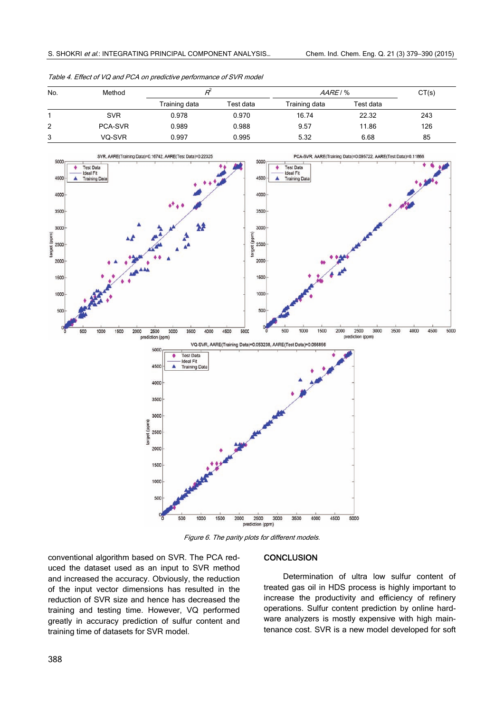| No. | Method         |               |           | AARE   %      | CT(s)     |     |
|-----|----------------|---------------|-----------|---------------|-----------|-----|
|     |                | Training data | Test data | Training data | Test data |     |
|     | <b>SVR</b>     | 0.978         | 0.970     | 16.74         | 22.32     | 243 |
| 2   | <b>PCA-SVR</b> | 0.989         | 0.988     | 9.57          | 11.86     | 126 |
| 3   | VQ-SVR         | 0.997         | 0.995     | 5.32          | 6.68      | 85  |





Figure 6. The parity plots for different models.

conventional algorithm based on SVR. The PCA reduced the dataset used as an input to SVR method and increased the accuracy. Obviously, the reduction of the input vector dimensions has resulted in the reduction of SVR size and hence has decreased the training and testing time. However, VQ performed greatly in accuracy prediction of sulfur content and training time of datasets for SVR model.

#### **CONCLUSION**

Determination of ultra low sulfur content of treated gas oil in HDS process is highly important to increase the productivity and efficiency of refinery operations. Sulfur content prediction by online hardware analyzers is mostly expensive with high maintenance cost. SVR is a new model developed for soft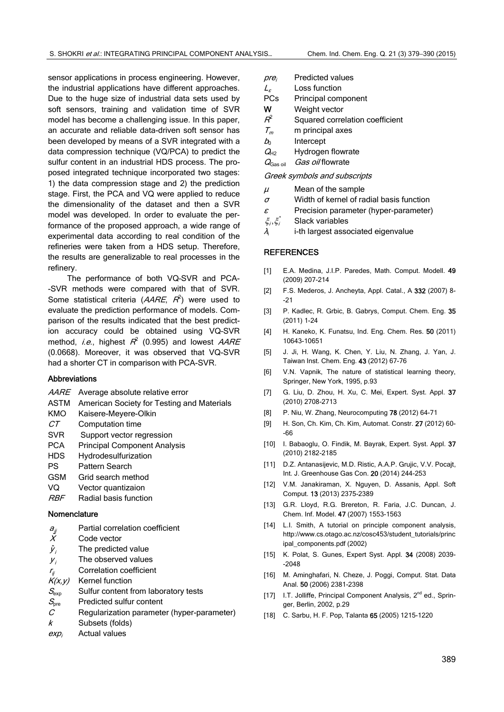sensor applications in process engineering. However, the industrial applications have different approaches. Due to the huge size of industrial data sets used by soft sensors, training and validation time of SVR model has become a challenging issue. In this paper, an accurate and reliable data-driven soft sensor has been developed by means of a SVR integrated with a data compression technique (VQ/PCA) to predict the sulfur content in an industrial HDS process. The proposed integrated technique incorporated two stages: 1) the data compression stage and 2) the prediction stage. First, the PCA and VQ were applied to reduce the dimensionality of the dataset and then a SVR model was developed. In order to evaluate the performance of the proposed approach, a wide range of experimental data according to real condition of the refineries were taken from a HDS setup. Therefore, the results are generalizable to real processes in the refinery.

The performance of both VQ–SVR and PCA- -SVR methods were compared with that of SVR. Some statistical criteria (AARE,  $R^2$ ) were used to evaluate the prediction performance of models. Comparison of the results indicated that the best prediction accuracy could be obtained using VQ–SVR method, *i.e.*, highest  $R^2$  (0.995) and lowest AARE (0.0668). Moreover, it was observed that VQ-SVR had a shorter CT in comparison with PCA-SVR.

## Abbreviations

- AARE Average absolute relative error
- ASTM American Society for Testing and Materials
- KMO Kaisere-Meyere-Olkin
- CT Computation time
- SVR Support vector regression
- PCA Principal Component Analysis
- HDS Hydrodesulfurization
- PS Pattern Search
- GSM Grid search method
- VQ Vector quantizaion
- RBF Radial basis function

#### Nomenclature

- $a_{jj}$  Partial correlation coefficient<br>
X Code vector
- Code vector
- $\hat{y}_i$  The predicted value
- $y_i$  The observed values
- $r_{ij}$  Correlation coefficient<br> $K(x, y)$  Kernel function
- Kernel function
- $S_{\text{exp}}$  Sulfur content from laboratory tests
- $S_{\text{pre}}$  Predicted sulfur content
- $C$  Regularization parameter (hyper-parameter)
- k Subsets (folds)
- $exp<sub>i</sub>$  Actual values
- $pre_i$  Predicted values
- $L_{\varepsilon}$  Loss function
- PCs Principal component
- W Weight vector
- $R^2$ Squared correlation coefficient
- $T_m$  m principal axes
- $b_0$  Intercept
- $Q_{H2}$  Hydrogen flowrate
- $Q_{\text{Gas oil}}$  *Gas oil* flowrate
- Greek symbols and subscripts
- $\mu$  Mean of the sample
- $\sigma$  Width of kernel of radial basis function
- $\varepsilon$  Precision parameter (hyper-parameter)
- $\xi_i, \xi_i^*$  Slack variables
- $\lambda_i$  i-th largest associated eigenvalue

## **REFERENCES**

- [1] E.A. Medina, J.I.P. Paredes, Math. Comput. Modell. 49 (2009) 207-214
- [2] F.S. Mederos, J. Ancheyta, Appl. Catal., A 332 (2007) 8- -21
- [3] P. Kadlec, R. Grbic, B. Gabrys, Comput. Chem. Eng. 35 (2011) 1-24
- [4] H. Kaneko, K. Funatsu, Ind. Eng. Chem. Res. 50 (2011) 10643-10651
- [5] J. Ji, H. Wang, K. Chen, Y. Liu, N. Zhang, J. Yan, J. Taiwan Inst. Chem. Eng. 43 (2012) 67-76
- [6] V.N. Vapnik, The nature of statistical learning theory, Springer, New York, 1995, p.93
- [7] G. Liu, D. Zhou, H. Xu, C. Mei, Expert. Syst. Appl. 37 (2010) 2708-2713
- [8] P. Niu, W. Zhang, Neurocomputing 78 (2012) 64-71
- [9] H. Son, Ch. Kim, Ch. Kim, Automat. Constr. 27 (2012) 60--66
- [10] I. Babaoglu, O. Findik, M. Bayrak, Expert. Syst. Appl. 37 (2010) 2182-2185
- [11] D.Z. Antanasijevic, M.D. Ristic, A.A.P. Grujic, V.V. Pocajt, Int. J. Greenhouse Gas Con. 20 (2014) 244-253
- [12] V.M. Janakiraman, X. Nguyen, D. Assanis, Appl. Soft Comput. 13 (2013) 2375-2389
- [13] G.R. Lloyd, R.G. Brereton, R. Faria, J.C. Duncan, J. Chem. Inf. Model. 47 (2007) 1553-1563
- [14] L.I. Smith, A tutorial on principle component analysis, http://www.cs.otago.ac.nz/cosc453/student\_tutorials/princ ipal\_components.pdf (2002)
- [15] K. Polat, S. Gunes, Expert Syst. Appl. 34 (2008) 2039-  $-2048$
- [16] M. Aminghafari, N. Cheze, J. Poggi, Comput. Stat. Data Anal. 50 (2006) 2381-2398
- [17] I.T. Jolliffe, Principal Component Analysis, 2<sup>nd</sup> ed., Springer, Berlin, 2002, p.29
- [18] C. Sarbu, H. F. Pop, Talanta 65 (2005) 1215-1220